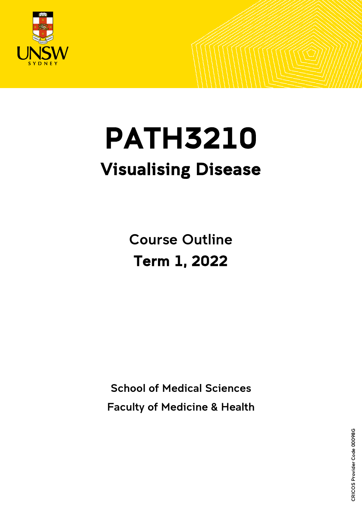

# PATH3210 Visualising Disease

Course Outline Term 1, 2022

School of Medical Sciences

Faculty of Medicine & Health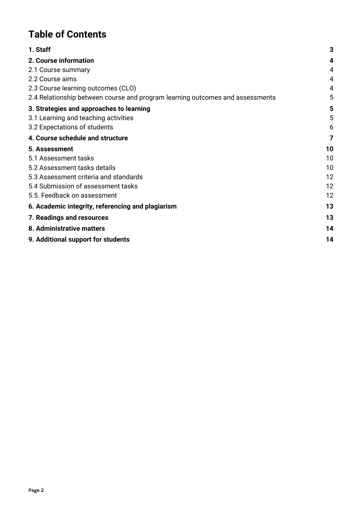# **Table of Contents**

| 1. Staff                                                                      | 3  |
|-------------------------------------------------------------------------------|----|
| 2. Course information                                                         | 4  |
| 2.1 Course summary                                                            | 4  |
| 2.2 Course aims                                                               | 4  |
| 2.3 Course learning outcomes (CLO)                                            | 4  |
| 2.4 Relationship between course and program learning outcomes and assessments | 5  |
| 3. Strategies and approaches to learning                                      | 5  |
| 3.1 Learning and teaching activities                                          | 5  |
| 3.2 Expectations of students                                                  | 6  |
| 4. Course schedule and structure                                              | 7  |
| 5. Assessment                                                                 | 10 |
| 5.1 Assessment tasks                                                          | 10 |
| 5.2 Assessment tasks details                                                  | 10 |
| 5.3 Assessment criteria and standards                                         | 12 |
| 5.4 Submission of assessment tasks                                            | 12 |
| 5.5. Feedback on assessment                                                   | 12 |
| 6. Academic integrity, referencing and plagiarism                             | 13 |
| 7. Readings and resources                                                     | 13 |
| 8. Administrative matters                                                     | 14 |
| 9. Additional support for students                                            | 14 |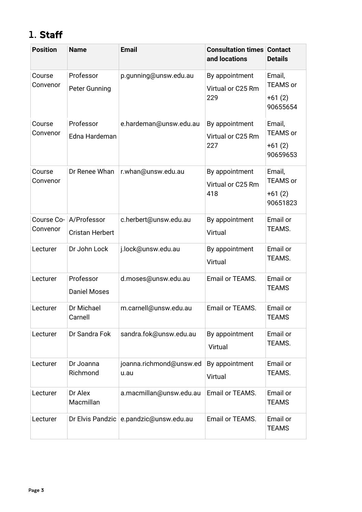# <span id="page-2-0"></span>1. Staff

| <b>Position</b>        | <b>Name</b>                           | <b>Email</b>                    | <b>Consultation times Contact</b><br>and locations | <b>Details</b>                                    |
|------------------------|---------------------------------------|---------------------------------|----------------------------------------------------|---------------------------------------------------|
| Course<br>Convenor     | Professor<br><b>Peter Gunning</b>     | p.gunning@unsw.edu.au           | By appointment<br>Virtual or C25 Rm<br>229         | Email,<br><b>TEAMS or</b><br>$+61(2)$<br>90655654 |
| Course<br>Convenor     | Professor<br>Edna Hardeman            | e.hardeman@unsw.edu.au          | By appointment<br>Virtual or C25 Rm<br>227         | Email,<br><b>TEAMS or</b><br>+61 (2)<br>90659653  |
| Course<br>Convenor     | Dr Renee Whan                         | r.whan@unsw.edu.au              | By appointment<br>Virtual or C25 Rm<br>418         | Email,<br><b>TEAMS or</b><br>$+61(2)$<br>90651823 |
| Course Co-<br>Convenor | A/Professor<br><b>Cristan Herbert</b> | c.herbert@unsw.edu.au           | By appointment<br>Virtual                          | Email or<br>TEAMS.                                |
| Lecturer               | Dr John Lock                          | j.lock@unsw.edu.au              | By appointment<br>Virtual                          | Email or<br>TEAMS.                                |
| Lecturer               | Professor<br><b>Daniel Moses</b>      | d.moses@unsw.edu.au             | Email or TEAMS.                                    | Email or<br><b>TEAMS</b>                          |
| Lecturer               | Dr Michael<br>Carnell                 | m.carnell@unsw.edu.au           | Email or TEAMS.                                    | Email or<br><b>TEAMS</b>                          |
| Lecturer               | Dr Sandra Fok                         | sandra.fok@unsw.edu.au          | By appointment<br>Virtual                          | Email or<br>TEAMS.                                |
| Lecturer               | Dr Joanna<br>Richmond                 | joanna.richmond@unsw.ed<br>u.au | By appointment<br>Virtual                          | Email or<br>TEAMS.                                |
| Lecturer               | Dr Alex<br>Macmillan                  | a.macmillan@unsw.edu.au         | Email or TEAMS.                                    | Email or<br><b>TEAMS</b>                          |
| Lecturer               | Dr Elvis Pandzic                      | e.pandzic@unsw.edu.au           | Email or TEAMS.                                    | Email or<br><b>TEAMS</b>                          |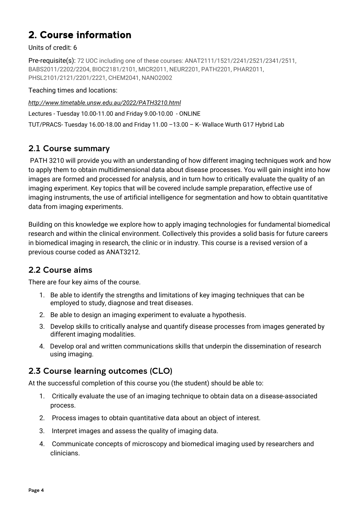# <span id="page-3-0"></span>2. Course information

#### Units of credit: 6

Pre-requisite(s): 72 UOC including one of these courses: ANAT2111/1521/2241/2521/2341/2511, BABS2011/2202/2204, BIOC2181/2101, MICR2011, NEUR2201, PATH2201, PHAR2011, PHSL2101/2121/2201/2221, CHEM2041, NANO2002

#### Teaching times and locations:

*<http://www.timetable.unsw.edu.au/2022/PATH3210.html>*

Lectures - Tuesday 10.00-11.00 and Friday 9.00-10.00 - ONLINE TUT/PRACS- Tuesday 16.00-18.00 and Friday 11.00 –13.00 – K- Wallace Wurth G17 Hybrid Lab

## <span id="page-3-1"></span>2.1 Course summary

PATH 3210 will provide you with an understanding of how different imaging techniques work and how to apply them to obtain multidimensional data about disease processes. You will gain insight into how images are formed and processed for analysis, and in turn how to critically evaluate the quality of an imaging experiment. Key topics that will be covered include sample preparation, effective use of imaging instruments, the use of artificial intelligence for segmentation and how to obtain quantitative data from imaging experiments.

Building on this knowledge we explore how to apply imaging technologies for fundamental biomedical research and within the clinical environment. Collectively this provides a solid basis for future careers in biomedical imaging in research, the clinic or in industry. This course is a revised version of a previous course coded as ANAT3212.

## <span id="page-3-2"></span>2.2 Course aims

There are four key aims of the course.

- 1. Be able to identify the strengths and limitations of key imaging techniques that can be employed to study, diagnose and treat diseases.
- 2. Be able to design an imaging experiment to evaluate a hypothesis.
- 3. Develop skills to critically analyse and quantify disease processes from images generated by different imaging modalities.
- 4. Develop oral and written communications skills that underpin the dissemination of research using imaging.

## <span id="page-3-3"></span>2.3 Course learning outcomes (CLO)

At the successful completion of this course you (the student) should be able to:

- 1. Critically evaluate the use of an imaging technique to obtain data on a disease-associated process.
- 2. Process images to obtain quantitative data about an object of interest.
- 3. Interpret images and assess the quality of imaging data.
- 4. Communicate concepts of microscopy and biomedical imaging used by researchers and clinicians.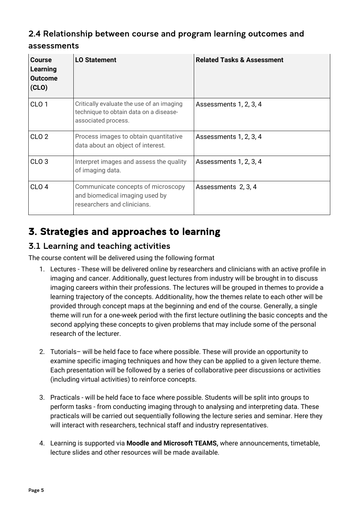# <span id="page-4-0"></span>2.4 Relationship between course and program learning outcomes and

#### assessments

| <b>Course</b><br>Learning<br><b>Outcome</b><br>(CLO) | <b>LO Statement</b>                                                                                        | <b>Related Tasks &amp; Assessment</b> |
|------------------------------------------------------|------------------------------------------------------------------------------------------------------------|---------------------------------------|
| CLO <sub>1</sub>                                     | Critically evaluate the use of an imaging<br>technique to obtain data on a disease-<br>associated process. | Assessments 1, 2, 3, 4                |
| CLO <sub>2</sub>                                     | Process images to obtain quantitative<br>data about an object of interest.                                 | Assessments 1, 2, 3, 4                |
| CLO <sub>3</sub>                                     | Interpret images and assess the quality<br>of imaging data.                                                | Assessments 1, 2, 3, 4                |
| CLO <sub>4</sub>                                     | Communicate concepts of microscopy<br>and biomedical imaging used by<br>researchers and clinicians.        | Assessments 2, 3, 4                   |

# <span id="page-4-1"></span>3. Strategies and approaches to learning

## <span id="page-4-2"></span>3.1 Learning and teaching activities

The course content will be delivered using the following format

- 1. Lectures These will be delivered online by researchers and clinicians with an active profile in imaging and cancer. Additionally, guest lectures from industry will be brought in to discuss imaging careers within their professions. The lectures will be grouped in themes to provide a learning trajectory of the concepts. Additionality, how the themes relate to each other will be provided through concept maps at the beginning and end of the course. Generally, a single theme will run for a one-week period with the first lecture outlining the basic concepts and the second applying these concepts to given problems that may include some of the personal research of the lecturer.
- 2. Tutorials– will be held face to face where possible. These will provide an opportunity to examine specific imaging techniques and how they can be applied to a given lecture theme. Each presentation will be followed by a series of collaborative peer discussions or activities (including virtual activities) to reinforce concepts.
- 3. Practicals will be held face to face where possible. Students will be split into groups to perform tasks - from conducting imaging through to analysing and interpreting data. These practicals will be carried out sequentially following the lecture series and seminar. Here they will interact with researchers, technical staff and industry representatives.
- 4. Learning is supported via **Moodle and Microsoft TEAMS,** where announcements, timetable, lecture slides and other resources will be made available.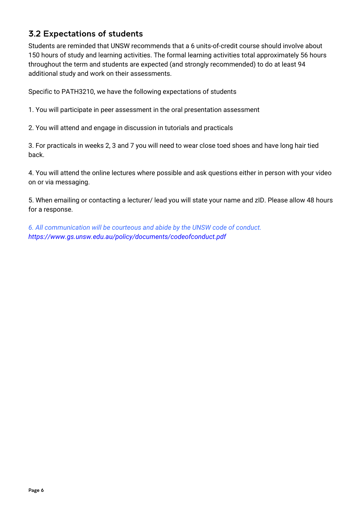## <span id="page-5-0"></span>3.2 Expectations of students

Students are reminded that UNSW recommends that a 6 units-of-credit course should involve about 150 hours of study and learning activities. The formal learning activities total approximately 56 hours throughout the term and students are expected (and strongly recommended) to do at least 94 additional study and work on their assessments.

Specific to PATH3210, we have the following expectations of students

1. You will participate in peer assessment in the oral presentation assessment

2. You will attend and engage in discussion in tutorials and practicals

3. For practicals in weeks 2, 3 and 7 you will need to wear close toed shoes and have long hair tied back.

4. You will attend the online lectures where possible and ask questions either in person with your video on or via messaging.

5. When emailing or contacting a lecturer/ lead you will state your name and zID. Please allow 48 hours for a response.

*6. All communication will be courteous and abide by the UNSW code of conduct. https://www.gs.unsw.edu.au/policy/documents/codeofconduct.pdf*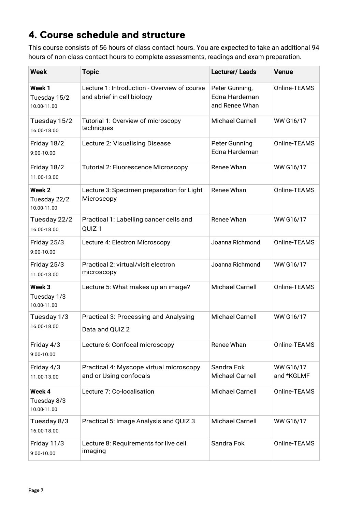# <span id="page-6-0"></span>4. Course schedule and structure

This course consists of 56 hours of class contact hours. You are expected to take an additional 94 hours of non-class contact hours to complete assessments, readings and exam preparation.

| <b>Week</b>                                     | <b>Topic</b>                                                               | <b>Lecturer/Leads</b>                             | <b>Venue</b>            |
|-------------------------------------------------|----------------------------------------------------------------------------|---------------------------------------------------|-------------------------|
| Week 1<br>Tuesday 15/2<br>10.00-11.00           | Lecture 1: Introduction - Overview of course<br>and abrief in cell biology | Peter Gunning,<br>Edna Hardeman<br>and Renee Whan | Online-TEAMS            |
| Tuesday 15/2<br>16.00-18.00                     | Tutorial 1: Overview of microscopy<br>techniques                           | <b>Michael Carnell</b>                            | WW G16/17               |
| Friday 18/2<br>9:00-10.00                       | Lecture 2: Visualising Disease                                             | Peter Gunning<br>Edna Hardeman                    | Online-TEAMS            |
| Friday 18/2<br>11.00-13.00                      | <b>Tutorial 2: Fluorescence Microscopy</b>                                 | Renee Whan                                        | WW G16/17               |
| Week 2<br>Tuesday 22/2<br>10.00-11.00           | Lecture 3: Specimen preparation for Light<br>Microscopy                    | Renee Whan                                        | Online-TEAMS            |
| Tuesday 22/2<br>16.00-18.00                     | Practical 1: Labelling cancer cells and<br>QUIZ <sub>1</sub>               | Renee Whan                                        | WW G16/17               |
| Friday 25/3<br>9:00-10.00                       | Lecture 4: Electron Microscopy                                             | Joanna Richmond                                   | Online-TEAMS            |
| Friday 25/3<br>11.00-13.00                      | Practical 2: virtual/visit electron<br>microscopy                          | Joanna Richmond                                   | WW G16/17               |
| Week <sub>3</sub><br>Tuesday 1/3<br>10.00-11.00 | Lecture 5: What makes up an image?                                         | <b>Michael Carnell</b>                            | Online-TEAMS            |
| Tuesday 1/3<br>16.00-18.00                      | Practical 3: Processing and Analysing<br>Data and QUIZ 2                   | <b>Michael Carnell</b>                            | WW G16/17               |
| Friday 4/3<br>9:00-10.00                        | Lecture 6: Confocal microscopy                                             | Renee Whan                                        | Online-TEAMS            |
| Friday 4/3<br>11.00-13.00                       | Practical 4: Myscope virtual microscopy<br>and or Using confocals          | Sandra Fok<br><b>Michael Carnell</b>              | WW G16/17<br>and *KGLMF |
| Week 4<br>Tuesday 8/3<br>10.00-11.00            | Lecture 7: Co-localisation                                                 | <b>Michael Carnell</b>                            | Online-TEAMS            |
| Tuesday 8/3<br>16.00-18.00                      | Practical 5: Image Analysis and QUIZ 3                                     | <b>Michael Carnell</b>                            | WW G16/17               |
| Friday 11/3<br>9:00-10.00                       | Lecture 8: Requirements for live cell<br>imaging                           | Sandra Fok                                        | Online-TEAMS            |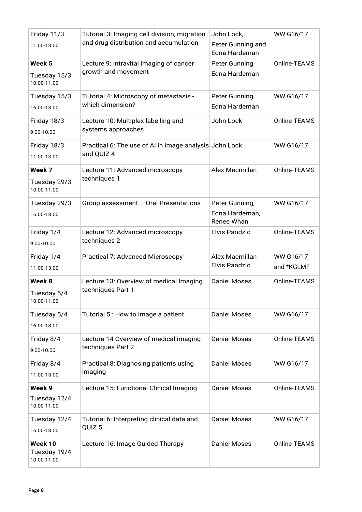| Friday 11/3<br>11.00-13.00             | Tutorial 3: Imaging cell division, migration<br>and drug distribution and accumulation | John Lock,<br>Peter Gunning and | WW G16/17        |  |
|----------------------------------------|----------------------------------------------------------------------------------------|---------------------------------|------------------|--|
|                                        |                                                                                        | Edna Hardeman                   |                  |  |
| Week 5                                 | Lecture 9: Intravital imaging of cancer                                                | Peter Gunning                   | Online-TEAMS     |  |
| Tuesday 15/3<br>10.00-11.00            | growth and movement                                                                    | Edna Hardeman                   |                  |  |
| Tuesday 15/3                           | Tutorial 4: Microscopy of metastasis -                                                 | <b>Peter Gunning</b>            | <b>WW G16/17</b> |  |
| 16.00-18.00                            | which dimension?                                                                       | Edna Hardeman                   |                  |  |
| Friday 18/3                            | Lecture 10: Multiplex labelling and                                                    | John Lock                       | Online-TEAMS     |  |
| 9:00-10.00                             | systems approaches                                                                     |                                 |                  |  |
| Friday 18/3                            | Practical 6: The use of AI in image analysis John Lock                                 |                                 | WW G16/17        |  |
| 11.00-13.00                            | and QUIZ 4                                                                             |                                 |                  |  |
| Week 7                                 | Lecture 11: Advanced microscopy                                                        | Alex Macmillan                  | Online-TEAMS     |  |
| Tuesday 29/3<br>10.00-11.00            | techniques 1                                                                           |                                 |                  |  |
| Tuesday 29/3                           | Group assessment - Oral Presentations                                                  | Peter Gunning,                  | <b>WW G16/17</b> |  |
| 16.00-18.00                            |                                                                                        |                                 |                  |  |
| Friday 1/4                             | Lecture 12: Advanced microscopy                                                        | <b>Elvis Pandzic</b>            | Online-TEAMS     |  |
| 9:00-10.00                             | techniques 2                                                                           |                                 |                  |  |
| Friday 1/4                             | Practical 7: Advanced Microscopy                                                       | Alex Macmillan                  | WW G16/17        |  |
| 11.00-13.00                            |                                                                                        | <b>Elvis Pandzic</b>            | and *KGLMF       |  |
| Week 8                                 | Lecture 13: Overview of medical Imaging                                                | <b>Daniel Moses</b>             | Online-TEAMS     |  |
| Tuesday 5/4<br>10.00-11.00             | techniques Part 1                                                                      |                                 |                  |  |
| Tuesday 5/4                            | Tutorial 5 : How to image a patient                                                    | <b>Daniel Moses</b>             | WW G16/17        |  |
| 16.00-18.00                            |                                                                                        |                                 |                  |  |
| Friday 8/4                             | Lecture 14 Overview of medical imaging                                                 | <b>Daniel Moses</b>             | Online-TEAMS     |  |
| 9:00-10.00                             | techniques Part 2                                                                      |                                 |                  |  |
| Friday 8/4                             | Practical 8: Diagnosing patients using                                                 | <b>Daniel Moses</b>             | WW G16/17        |  |
| 11.00-13.00                            | imaging                                                                                |                                 |                  |  |
| Week 9                                 | Lecture 15: Functional Clinical Imaging                                                | <b>Daniel Moses</b>             | Online-TEAMS     |  |
| Tuesday 12/4<br>10.00-11.00            |                                                                                        |                                 |                  |  |
| Tuesday 12/4                           | Tutorial 6: Interpreting clinical data and                                             | <b>Daniel Moses</b>             | WW G16/17        |  |
| 16.00-18.00                            | QUIZ <sub>5</sub>                                                                      |                                 |                  |  |
| Week 10<br>Tuesday 19/4<br>10.00-11.00 | Lecture 16: Image Guided Therapy                                                       | <b>Daniel Moses</b>             | Online-TEAMS     |  |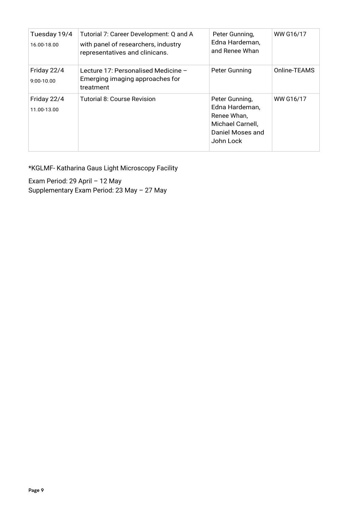| Tuesday 19/4<br>16.00-18.00 | Tutorial 7: Career Development: Q and A<br>with panel of researchers, industry<br>representatives and clinicans. | Peter Gunning,<br>Edna Hardeman,<br>and Renee Whan                                                   | WW G16/17    |
|-----------------------------|------------------------------------------------------------------------------------------------------------------|------------------------------------------------------------------------------------------------------|--------------|
| Friday 22/4<br>$9:00-10.00$ | Lecture 17: Personalised Medicine -<br>Emerging imaging approaches for<br>treatment                              | Peter Gunning                                                                                        | Online-TEAMS |
| Friday 22/4<br>11.00-13.00  | Tutorial 8: Course Revision                                                                                      | Peter Gunning,<br>Edna Hardeman,<br>Renee Whan,<br>Michael Carnell,<br>Daniel Moses and<br>John Lock | WW G16/17    |

\*KGLMF- Katharina Gaus Light Microscopy Facility

Exam Period: 29 April – 12 May Supplementary Exam Period: 23 May – 27 May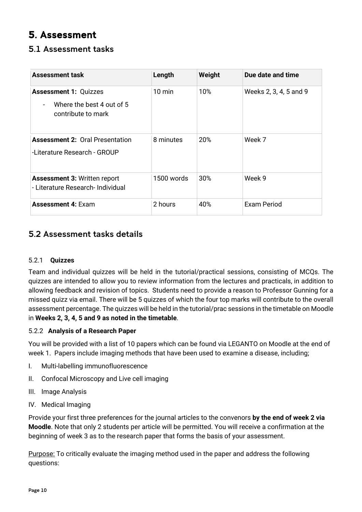# <span id="page-9-0"></span>5. Assessment

## <span id="page-9-1"></span>5.1 Assessment tasks

| <b>Assessment task</b>                                                                                      | Length           | Weight | Due date and time      |
|-------------------------------------------------------------------------------------------------------------|------------------|--------|------------------------|
| <b>Assessment 1: Quizzes</b><br>Where the best 4 out of 5<br>$\overline{\phantom{0}}$<br>contribute to mark | $10 \text{ min}$ | 10%    | Weeks 2, 3, 4, 5 and 9 |
| <b>Assessment 2: Oral Presentation</b><br>-Literature Research - GROUP                                      | 8 minutes        | 20%    | Week 7                 |
| <b>Assessment 3: Written report</b><br>- Literature Research- Individual                                    | 1500 words       | 30%    | Week 9                 |
| <b>Assessment 4: Exam</b>                                                                                   | 2 hours          | 40%    | Exam Period            |

## <span id="page-9-2"></span>5.2 Assessment tasks details

#### 5.2.1 **Quizzes**

Team and individual quizzes will be held in the tutorial/practical sessions, consisting of MCQs. The quizzes are intended to allow you to review information from the lectures and practicals, in addition to allowing feedback and revision of topics. Students need to provide a reason to Professor Gunning for a missed quizz via email. There will be 5 quizzes of which the four top marks will contribute to the overall assessment percentage. The quizzes will be held in the tutorial/prac sessions in the timetable on Moodle in **Weeks 2, 3, 4, 5 and 9 as noted in the timetable**.

#### 5.2.2 **Analysis of a Research Paper**

You will be provided with a list of 10 papers which can be found via LEGANTO on Moodle at the end of week 1. Papers include imaging methods that have been used to examine a disease, including;

- I. Multi-labelling immunofluorescence
- II. Confocal Microscopy and Live cell imaging
- III. Image Analysis
- IV. Medical Imaging

Provide your first three preferences for the journal articles to the convenors **by the end of week 2 via Moodle**. Note that only 2 students per article will be permitted. You will receive a confirmation at the beginning of week 3 as to the research paper that forms the basis of your assessment.

Purpose: To critically evaluate the imaging method used in the paper and address the following questions: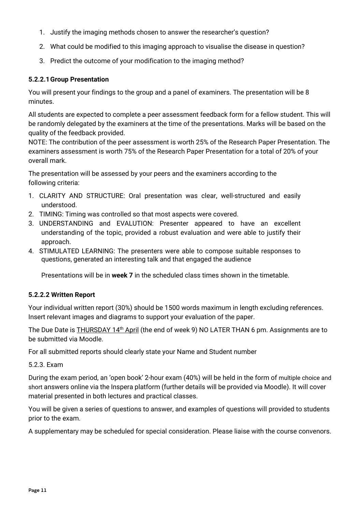- 1. Justify the imaging methods chosen to answer the researcher's question?
- 2. What could be modified to this imaging approach to visualise the disease in question?
- 3. Predict the outcome of your modification to the imaging method?

#### **5.2.2.1Group Presentation**

You will present your findings to the group and a panel of examiners. The presentation will be 8 minutes.

All students are expected to complete a peer assessment feedback form for a fellow student. This will be randomly delegated by the examiners at the time of the presentations. Marks will be based on the quality of the feedback provided.

NOTE: The contribution of the peer assessment is worth 25% of the Research Paper Presentation. The examiners assessment is worth 75% of the Research Paper Presentation for a total of 20% of your overall mark.

The presentation will be assessed by your peers and the examiners according to the following criteria:

- 1. CLARITY AND STRUCTURE: Oral presentation was clear, well-structured and easily understood.
- 2. TIMING: Timing was controlled so that most aspects were covered.
- 3. UNDERSTANDING and EVALUTION: Presenter appeared to have an excellent understanding of the topic, provided a robust evaluation and were able to justify their approach.
- 4. STIMULATED LEARNING: The presenters were able to compose suitable responses to questions, generated an interesting talk and that engaged the audience

Presentations will be in **week 7** in the scheduled class times shown in the timetable.

#### **5.2.2.2 Written Report**

Your individual written report (30%) should be 1500 words maximum in length excluding references. Insert relevant images and diagrams to support your evaluation of the paper.

The Due Date is **THURSDAY 14<sup>th</sup> April** (the end of week 9) NO LATER THAN 6 pm. Assignments are to be submitted via Moodle.

For all submitted reports should clearly state your Name and Student number

#### 5.2.3. Exam

During the exam period, an 'open book' 2-hour exam (40%) will be held in the form of multiple choice and short answers online via the Inspera platform (further details will be provided via Moodle). It will cover material presented in both lectures and practical classes.

You will be given a series of questions to answer, and examples of questions will provided to students prior to the exam.

A supplementary may be scheduled for special consideration. Please liaise with the course convenors.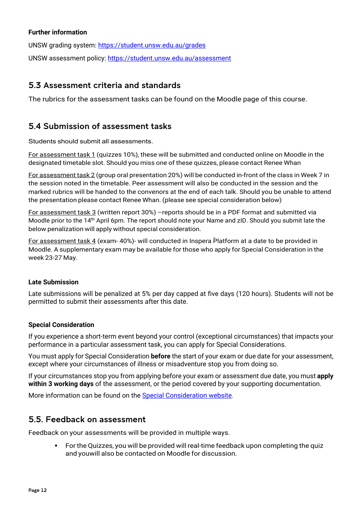#### **Further information**

UNSW grading system:<https://student.unsw.edu.au/grades> UNSW assessment policy:<https://student.unsw.edu.au/assessment>

### <span id="page-11-0"></span>5.3 Assessment criteria and standards

The rubrics for the assessment tasks can be found on the Moodle page of this course.

#### <span id="page-11-1"></span>5.4 Submission of assessment tasks

Students should submit all assessments.

For assessment task 1 (quizzes 10%), these will be submitted and conducted online on Moodle in the designated timetable slot. Should you miss one of these quizzes, please contact Renee Whan

For assessment task 2 (group oral presentation 20%) will be conducted in-front of the class in Week 7 in the session noted in the timetable. Peer assessment will also be conducted in the session and the marked rubrics will be handed to the convenors at the end of each talk. Should you be unable to attend the presentation please contact Renee Whan. (please see special consideration below)

For assessment task 3 (written report 30%) –reports should be in a PDF format and submitted via Moodle prior to the 14<sup>th</sup> April 6pm. The report should note your Name and zID. Should you submit late the below penalization will apply without special consideration.

For assessment task 4 (exam- 40%)- will conducted in Inspera Platform at a date to be provided in Moodle. A supplementary exam may be available for those who apply for Special Consideration in the week 23-27 May.

#### **Late Submission**

Late submissions will be penalized at 5% per day capped at five days (120 hours). Students will not be permitted to submit their assessments after this date.

#### **Special Consideration**

If you experience a short-term event beyond your control (exceptional circumstances) that impacts your performance in a particular assessment task, you can apply for Special Considerations.

You must apply for Special Consideration **before** the start of your exam or due date for your assessment, except where your circumstances of illness or misadventure stop you from doing so.

If your circumstances stop you from applying before your exam or assessment due date, you must **apply within 3 working days** of the assessment, or the period covered by your supporting documentation.

More information can be found on the [Special Consideration website.](https://www.student.unsw.edu.au/special-consideration)

#### <span id="page-11-2"></span>5.5. Feedback on assessment

Feedback on your assessments will be provided in multiple ways.

 For the Quizzes, you will be provided will real-time feedback upon completing the quiz and youwill also be contacted on Moodle for discussion.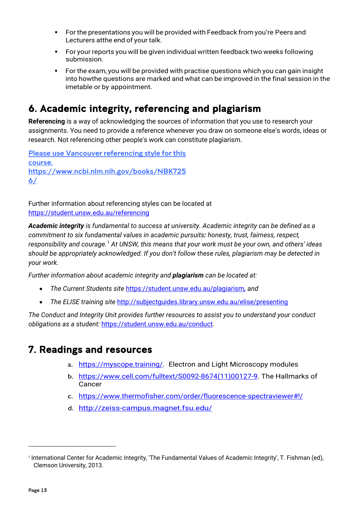- For the presentations you will be provided with Feedback from you're Peers and Lecturers atthe end of your talk.
- For your reports you will be given individual written feedback two weeks following submission.
- For the exam, you will be provided with practise questions which you can gain insight into howthe questions are marked and what can be improved in the final session in the imetable or by appointment.

## <span id="page-12-0"></span>6. Academic integrity, referencing and plagiarism

**Referencing** is a way of acknowledging the sources of information that you use to research your assignments. You need to provide a reference whenever you draw on someone else's words, ideas or research. Not referencing other people's work can constitute plagiarism.

Please use Vancouver referencing style for this course. https:/[/www.ncbi.nlm.nih.gov/books/NBK725](http://www.ncbi.nlm.nih.gov/books/NBK7256/) [6/](http://www.ncbi.nlm.nih.gov/books/NBK7256/)

Further information about referencing styles can be located at <https://student.unsw.edu.au/referencing>

*Academic integrity is fundamental to success at university. Academic integrity can be defined as a commitment to six fundamental values in academic pursuits: honesty, trust, fairness, respect, responsibility and courage.*[1](#page-12-2) *At UNSW, this means that your work must be your own, and others' ideas should be appropriately acknowledged. If you don't follow these rules, plagiarism may be detected in your work.* 

*Further information about academic integrity and plagiarism can be located at:*

- *The Current Students site* <https://student.unsw.edu.au/plagiarism>*, and*
- *The ELISE training site* <http://subjectguides.library.unsw.edu.au/elise/presenting>

*The Conduct and Integrity Unit provides further resources to assist you to understand your conduct obligations as a student:* <https://student.unsw.edu.au/conduct>*.*

## <span id="page-12-1"></span>7. Readings and resources

- a. [https://myscope.training/.](https://myscope.training/) Electron and Light Microscopy modules
- b. [https://www.cell.com/fulltext/S0092-8674\(11\)00127-9.](https://www.cell.com/fulltext/S0092-8674(11)00127-9) The Hallmarks of Cancer
- c. [https://www.thermofisher.com/order/fluorescence-spectraviewer#!/](https://www.thermofisher.com/order/fluorescence-spectraviewer%23!/)
- d. <http://zeiss-campus.magnet.fsu.edu/>

<span id="page-12-2"></span><sup>1</sup> International Center for Academic Integrity, 'The Fundamental Values of Academic Integrity', T. Fishman (ed), Clemson University, 2013.